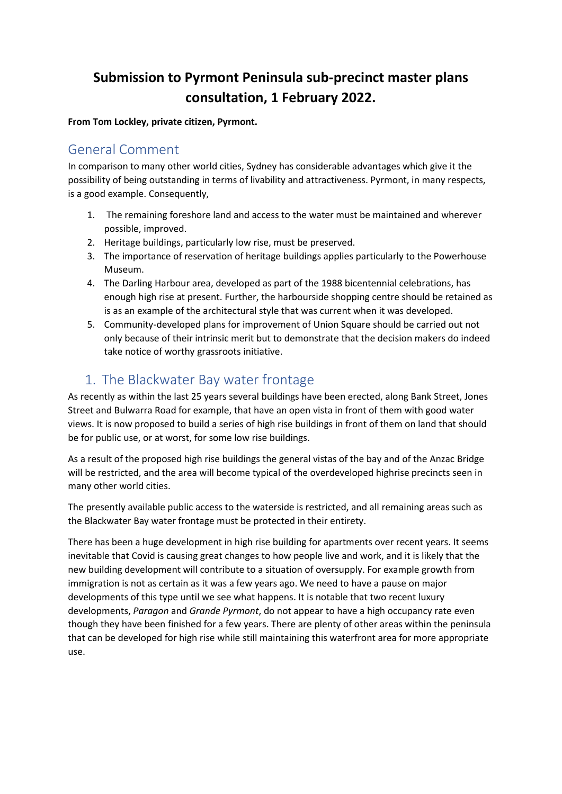# **Submission to Pyrmont Peninsula sub-precinct master plans consultation, 1 February 2022.**

**From Tom Lockley, private citizen, Pyrmont.**

#### General Comment

In comparison to many other world cities, Sydney has considerable advantages which give it the possibility of being outstanding in terms of livability and attractiveness. Pyrmont, in many respects, is a good example. Consequently,

- 1. The remaining foreshore land and access to the water must be maintained and wherever possible, improved.
- 2. Heritage buildings, particularly low rise, must be preserved.
- 3. The importance of reservation of heritage buildings applies particularly to the Powerhouse Museum.
- 4. The Darling Harbour area, developed as part of the 1988 bicentennial celebrations, has enough high rise at present. Further, the harbourside shopping centre should be retained as is as an example of the architectural style that was current when it was developed.
- 5. Community-developed plans for improvement of Union Square should be carried out not only because of their intrinsic merit but to demonstrate that the decision makers do indeed take notice of worthy grassroots initiative.

# 1. The Blackwater Bay water frontage

As recently as within the last 25 years several buildings have been erected, along Bank Street, Jones Street and Bulwarra Road for example, that have an open vista in front of them with good water views. It is now proposed to build a series of high rise buildings in front of them on land that should be for public use, or at worst, for some low rise buildings.

As a result of the proposed high rise buildings the general vistas of the bay and of the Anzac Bridge will be restricted, and the area will become typical of the overdeveloped highrise precincts seen in many other world cities.

The presently available public access to the waterside is restricted, and all remaining areas such as the Blackwater Bay water frontage must be protected in their entirety.

There has been a huge development in high rise building for apartments over recent years. It seems inevitable that Covid is causing great changes to how people live and work, and it is likely that the new building development will contribute to a situation of oversupply. For example growth from immigration is not as certain as it was a few years ago. We need to have a pause on major developments of this type until we see what happens. It is notable that two recent luxury developments, *Paragon* and *Grande Pyrmont*, do not appear to have a high occupancy rate even though they have been finished for a few years. There are plenty of other areas within the peninsula that can be developed for high rise while still maintaining this waterfront area for more appropriate use.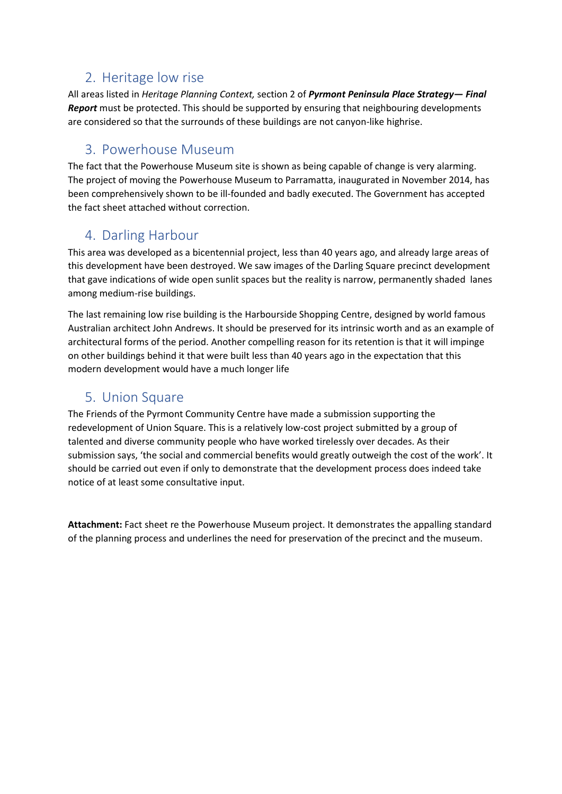## 2. Heritage low rise

All areas listed in *Heritage Planning Context,* section 2 of *Pyrmont Peninsula Place Strategy— Final Report* must be protected. This should be supported by ensuring that neighbouring developments are considered so that the surrounds of these buildings are not canyon-like highrise.

### 3. Powerhouse Museum

The fact that the Powerhouse Museum site is shown as being capable of change is very alarming. The project of moving the Powerhouse Museum to Parramatta, inaugurated in November 2014, has been comprehensively shown to be ill-founded and badly executed. The Government has accepted the fact sheet attached without correction.

# 4. Darling Harbour

This area was developed as a bicentennial project, less than 40 years ago, and already large areas of this development have been destroyed. We saw images of the Darling Square precinct development that gave indications of wide open sunlit spaces but the reality is narrow, permanently shaded lanes among medium-rise buildings.

The last remaining low rise building is the Harbourside Shopping Centre, designed by world famous Australian architect John Andrews. It should be preserved for its intrinsic worth and as an example of architectural forms of the period. Another compelling reason for its retention is that it will impinge on other buildings behind it that were built less than 40 years ago in the expectation that this modern development would have a much longer life

### 5. Union Square

The Friends of the Pyrmont Community Centre have made a submission supporting the redevelopment of Union Square. This is a relatively low-cost project submitted by a group of talented and diverse community people who have worked tirelessly over decades. As their submission says, 'the social and commercial benefits would greatly outweigh the cost of the work'. It should be carried out even if only to demonstrate that the development process does indeed take notice of at least some consultative input.

**Attachment:** Fact sheet re the Powerhouse Museum project. It demonstrates the appalling standard of the planning process and underlines the need for preservation of the precinct and the museum.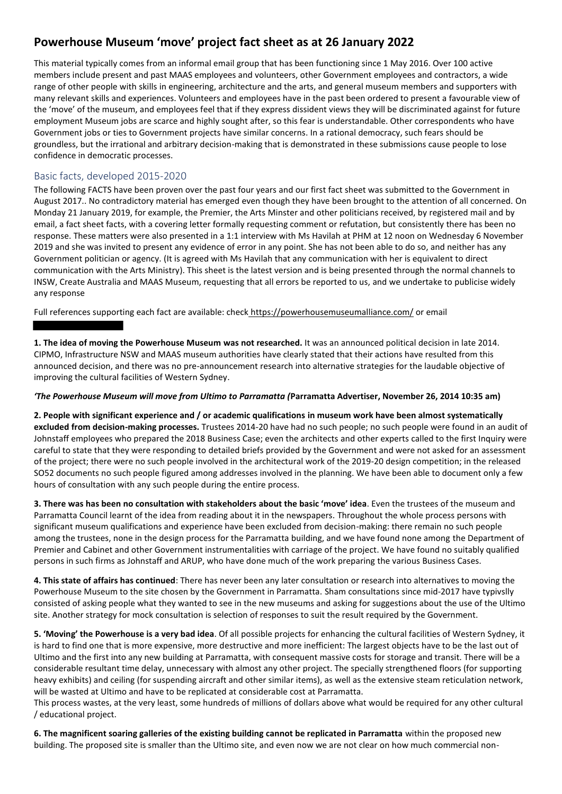#### **Powerhouse Museum 'move' project fact sheet as at 26 January 2022**

This material typically comes from an informal email group that has been functioning since 1 May 2016. Over 100 active members include present and past MAAS employees and volunteers, other Government employees and contractors, a wide range of other people with skills in engineering, architecture and the arts, and general museum members and supporters with many relevant skills and experiences. Volunteers and employees have in the past been ordered to present a favourable view of the 'move' of the museum, and employees feel that if they express dissident views they will be discriminated against for future employment Museum jobs are scarce and highly sought after, so this fear is understandable. Other correspondents who have Government jobs or ties to Government projects have similar concerns. In a rational democracy, such fears should be groundless, but the irrational and arbitrary decision-making that is demonstrated in these submissions cause people to lose confidence in democratic processes.

#### Basic facts, developed 2015-2020

The following FACTS have been proven over the past four years and our first fact sheet was submitted to the Government in August 2017.. No contradictory material has emerged even though they have been brought to the attention of all concerned. On Monday 21 January 2019, for example, the Premier, the Arts Minster and other politicians received, by registered mail and by email, a fact sheet facts, with a covering letter formally requesting comment or refutation, but consistently there has been no response. These matters were also presented in a 1:1 interview with Ms Havilah at PHM at 12 noon on Wednesday 6 November 2019 and she was invited to present any evidence of error in any point. She has not been able to do so, and neither has any Government politician or agency. (It is agreed with Ms Havilah that any communication with her is equivalent to direct communication with the Arts Ministry). This sheet is the latest version and is being presented through the normal channels to INSW, Create Australia and MAAS Museum, requesting that all errors be reported to us, and we undertake to publicise widely any response

Full references supporting each fact are available: check https://powerhousemuseumalliance.com/ or email

**1. The idea of moving the Powerhouse Museum was not researched.** It was an announced political decision in late 2014. CIPMO, Infrastructure NSW and MAAS museum authorities have clearly stated that their actions have resulted from this announced decision, and there was no pre-announcement research into alternative strategies for the laudable objective of improving the cultural facilities of Western Sydney.

#### *'The Powerhouse Museum will move from Ultimo to Parramatta (***Parramatta Advertiser, November 26, 2014 10:35 am)**

**2. People with significant experience and / or academic qualifications in museum work have been almost systematically excluded from decision-making processes.** Trustees 2014-20 have had no such people; no such people were found in an audit of Johnstaff employees who prepared the 2018 Business Case; even the architects and other experts called to the first Inquiry were careful to state that they were responding to detailed briefs provided by the Government and were not asked for an assessment of the project; there were no such people involved in the architectural work of the 2019-20 design competition; in the released SO52 documents no such people figured among addresses involved in the planning. We have been able to document only a few hours of consultation with any such people during the entire process.

**3. There was has been no consultation with stakeholders about the basic 'move' idea**. Even the trustees of the museum and Parramatta Council learnt of the idea from reading about it in the newspapers. Throughout the whole process persons with significant museum qualifications and experience have been excluded from decision-making: there remain no such people among the trustees, none in the design process for the Parramatta building, and we have found none among the Department of Premier and Cabinet and other Government instrumentalities with carriage of the project. We have found no suitably qualified persons in such firms as Johnstaff and ARUP, who have done much of the work preparing the various Business Cases.

**4. This state of affairs has continued**: There has never been any later consultation or research into alternatives to moving the Powerhouse Museum to the site chosen by the Government in Parramatta. Sham consultations since mid-2017 have typivslly consisted of asking people what they wanted to see in the new museums and asking for suggestions about the use of the Ultimo site. Another strategy for mock consultation is selection of responses to suit the result required by the Government.

**5. 'Moving' the Powerhouse is a very bad idea**. Of all possible projects for enhancing the cultural facilities of Western Sydney, it is hard to find one that is more expensive, more destructive and more inefficient: The largest objects have to be the last out of Ultimo and the first into any new building at Parramatta, with consequent massive costs for storage and transit. There will be a considerable resultant time delay, unnecessary with almost any other project. The specially strengthened floors (for supporting heavy exhibits) and ceiling (for suspending aircraft and other similar items), as well as the extensive steam reticulation network, will be wasted at Ultimo and have to be replicated at considerable cost at Parramatta.

This process wastes, at the very least, some hundreds of millions of dollars above what would be required for any other cultural / educational project.

**6. The magnificent soaring galleries of the existing building cannot be replicated in Parramatta** within the proposed new building. The proposed site is smaller than the Ultimo site, and even now we are not clear on how much commercial non